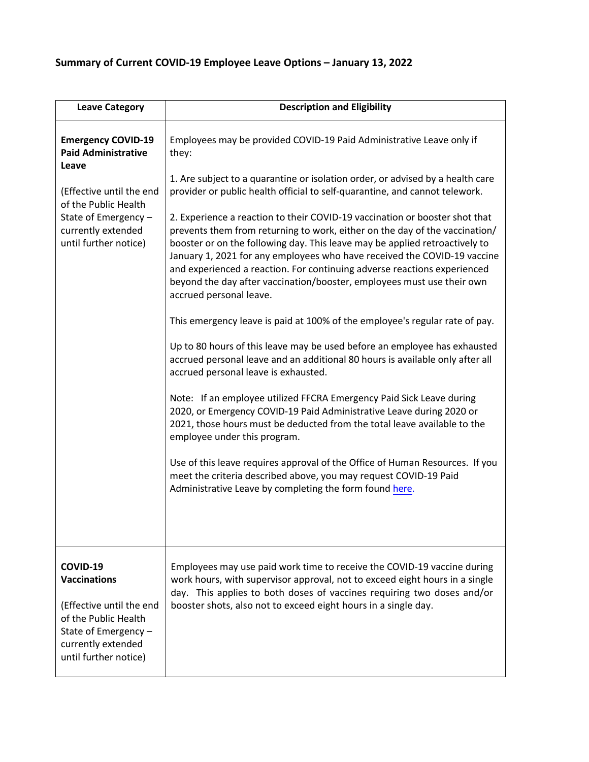## **Summary of Current COVID-19 Employee Leave Options – January 13, 2022**

| <b>Leave Category</b>                                                                                                                                      | <b>Description and Eligibility</b>                                                                                                                                                                                                                                                                                                                                                                                                                                                                                                                                                                                                                                                                                                                                                                                                                                                                                                                                                                                                                                                                                                                                                                                                                                                                                                                                                                                                      |
|------------------------------------------------------------------------------------------------------------------------------------------------------------|-----------------------------------------------------------------------------------------------------------------------------------------------------------------------------------------------------------------------------------------------------------------------------------------------------------------------------------------------------------------------------------------------------------------------------------------------------------------------------------------------------------------------------------------------------------------------------------------------------------------------------------------------------------------------------------------------------------------------------------------------------------------------------------------------------------------------------------------------------------------------------------------------------------------------------------------------------------------------------------------------------------------------------------------------------------------------------------------------------------------------------------------------------------------------------------------------------------------------------------------------------------------------------------------------------------------------------------------------------------------------------------------------------------------------------------------|
| <b>Emergency COVID-19</b><br><b>Paid Administrative</b><br>Leave                                                                                           | Employees may be provided COVID-19 Paid Administrative Leave only if<br>they:                                                                                                                                                                                                                                                                                                                                                                                                                                                                                                                                                                                                                                                                                                                                                                                                                                                                                                                                                                                                                                                                                                                                                                                                                                                                                                                                                           |
| (Effective until the end<br>of the Public Health<br>State of Emergency -<br>currently extended<br>until further notice)                                    | 1. Are subject to a quarantine or isolation order, or advised by a health care<br>provider or public health official to self-quarantine, and cannot telework.<br>2. Experience a reaction to their COVID-19 vaccination or booster shot that<br>prevents them from returning to work, either on the day of the vaccination/<br>booster or on the following day. This leave may be applied retroactively to<br>January 1, 2021 for any employees who have received the COVID-19 vaccine<br>and experienced a reaction. For continuing adverse reactions experienced<br>beyond the day after vaccination/booster, employees must use their own<br>accrued personal leave.<br>This emergency leave is paid at 100% of the employee's regular rate of pay.<br>Up to 80 hours of this leave may be used before an employee has exhausted<br>accrued personal leave and an additional 80 hours is available only after all<br>accrued personal leave is exhausted.<br>Note: If an employee utilized FFCRA Emergency Paid Sick Leave during<br>2020, or Emergency COVID-19 Paid Administrative Leave during 2020 or<br>2021, those hours must be deducted from the total leave available to the<br>employee under this program.<br>Use of this leave requires approval of the Office of Human Resources. If you<br>meet the criteria described above, you may request COVID-19 Paid<br>Administrative Leave by completing the form found here. |
| COVID-19<br><b>Vaccinations</b><br>(Effective until the end<br>of the Public Health<br>State of Emergency -<br>currently extended<br>until further notice) | Employees may use paid work time to receive the COVID-19 vaccine during<br>work hours, with supervisor approval, not to exceed eight hours in a single<br>day. This applies to both doses of vaccines requiring two doses and/or<br>booster shots, also not to exceed eight hours in a single day.                                                                                                                                                                                                                                                                                                                                                                                                                                                                                                                                                                                                                                                                                                                                                                                                                                                                                                                                                                                                                                                                                                                                      |